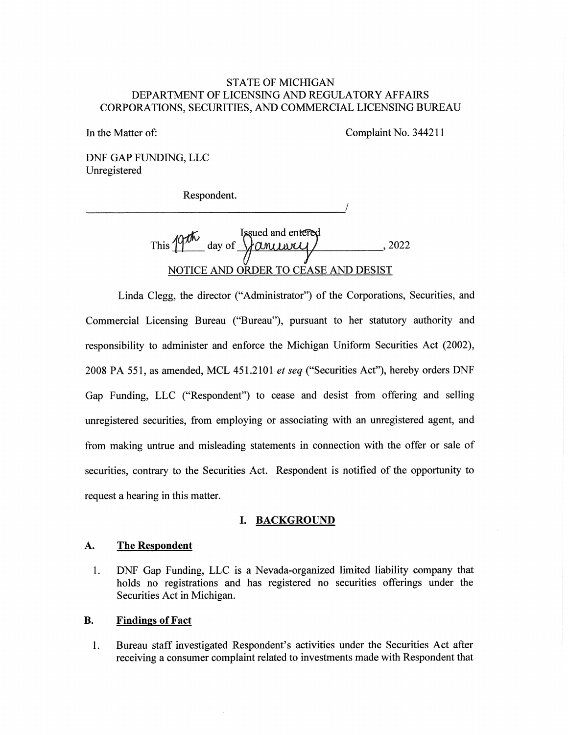## STATE OF MICHIGAN DEPARTMENT OF LICENSING AND REGULATORY AFFAIRS CORPORATIONS, SECURITIES, AND COMMERCIAL LICENSING BUREAU

In the Matter of: Complaint No. 344211

DNF GAP FUNDING, LLC Unregistered

Respondent.

Issued and en This  $14\%$  day of  $\gamma$  and  $\gamma$  2022 NOTICE AND ORDER TO CEASE AND DESIST

Linda Clegg, the director ("Administrator") of the Corporations, Securities, and Commercial Licensing Bureau ("Bureau"), pursuant to her statutory authority and responsibility to administer and enforce the Michigan Uniform Securities Act (2002), 2008 PA 551, as amended, MCL 451.2101 et seq ("Securities Act"), hereby orders DNF Gap Funding, LLC ("Respondent") to cease and desist from offering and selling unregistered securities, from employing or associating with an unregistered agent, and from making untrue and misleading statements in connection with the offer or sale of securities, contrary to the Securities Act. Respondent is notified of the opportunity to request a hearing in this matter.

## I. BACKGROUND

#### A. The Respondent

1. DNF Gap Funding, LLC is a Nevada-organized limited liability company that holds no registrations and has registered no securities offerings under the Securities Act in Michigan.

#### B. Findings of Fact

1. Bureau staff investigated Respondent's activities under the Securities Act after receiving a consumer complaint related to investments made with Respondent that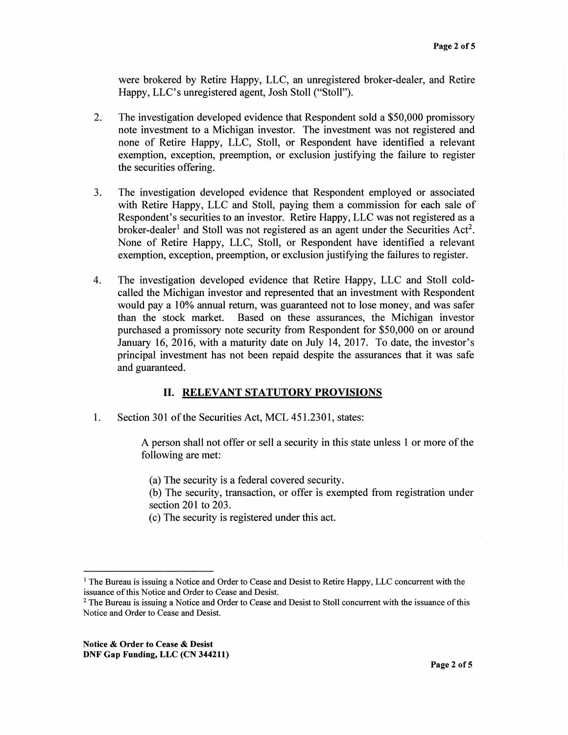were brokered by Retire Happy, LLC, an unregistered broker-dealer, and Retire Happy, LLC's unregistered agent, Josh Stoll ("Stoll").

- 2. The investigation developed evidence that Respondent sold a \$50,000 promissory note investment to a Michigan investor. The investment was not registered and none of Retire Happy, LLC, Stoll, or Respondent have identified a relevant exemption, exception, preemption, or exclusion justifying the failure to register the securities offering.
- 3. The investigation developed evidence that Respondent employed or associated with Retire Happy, LLC and Stoll, paying them a commission for each sale of Respondent's securities to an investor. Retire Happy, LLC was not registered as a broker-dealer<sup>1</sup> and Stoll was not registered as an agent under the Securities Act<sup>2</sup>. None of Retire Happy, LLC, Stoll, or Respondent have identified a relevant exemption, exception, preemption, or exclusion justifying the failures to register.
- 4. The investigation developed evidence that Retire Happy, LLC and Stoll coldcalled the Michigan investor and represented that an investment with Respondent would pay a 10% annual return, was guaranteed not to lose money, and was safer than the stock market. Based on these assurances, the Michigan investor purchased a promissory note security from Respondent for \$50,000 on or around January 16, 2016, with a maturity date on July 14, 2017. To date, the investor's principal investment has not been repaid despite the assurances that it was safe and guaranteed.

## II. RELEVANT STATUTORY PROVISIONS

1. Section 301 of the Securities Act, MCL 451.2301, states:

A person shall not offer or sell a security in this state unless 1 or more of the following are met:

(a) The security is a federal covered security.

(b) The security, transaction, or offer is exempted from registration under section 201 to 203.

(c) The security is registered under this act.

<sup>&</sup>lt;sup>1</sup> The Bureau is issuing a Notice and Order to Cease and Desist to Retire Happy, LLC concurrent with the issuance of this Notice and Order to Cease and Desist.

 $2$  The Bureau is issuing a Notice and Order to Cease and Desist to Stoll concurrent with the issuance of this Notice and Order to Cease and Desist.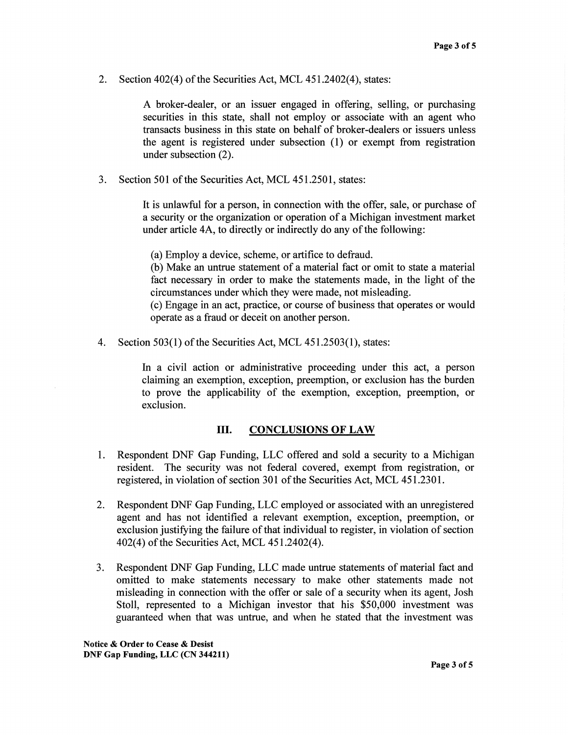2. Section 402(4) of the Securities Act, MCL 451.2402(4), states:

A broker-dealer, or an issuer engaged in offering, selling, or purchasing securities in this state, shall not employ or associate with an agent who transacts business in this state on behalf of broker-dealers or issuers unless the agent is registered under subsection (1) or exempt from registration under subsection (2).

3. Section 501 of the Securities Act, MCL 451.2501, states:

It is unlawful for a person, in connection with the offer, sale, or purchase of a security or the organization or operation of a Michigan investment market under article 4A, to directly or indirectly do any of the following:

(a) Employ a device, scheme, or artifice to defraud.

(b) Make an untrue statement of a material fact or omit to state a material fact necessary in order to make the statements made, in the light of the circumstances under which they were made, not misleading.

(c) Engage in an act, practice, or course of business that operates or would operate as a fraud or deceit on another person.

4. Section 503(1) of the Securities Act, MCL 451.2503(1), states:

In a civil action or administrative proceeding under this act, a person claiming an exemption, exception, preemption, or exclusion has the burden to prove the applicability of the exemption, exception, preemption, or exclusion.

## III. CONCLUSIONS OF LAW

- 1. Respondent DNF Gap Funding, LLC offered and sold a security to a Michigan resident. The security was not federal covered, exempt from registration, or registered, in violation of section 301 of the Securities Act, MCL 451.2301.
- 2. Respondent DNF Gap Funding, LLC employed or associated with an unregistered agent and has not identified a relevant exemption, exception, preemption, or exclusion justifying the failure of that individual to register, in violation of section 402(4) of the Securities Act, MCL 451.2402(4).
- 3. Respondent DNF Gap Funding, LLC made untrue statements of material fact and omitted to make statements necessary to make other statements made not misleading in connection with the offer or sale of a security when its agent, Josh Stoll, represented to a Michigan investor that his \$50,000 investment was guaranteed when that was untrue, and when he stated that the investment was

Notice & Order to Cease & Desist DNF Gap Funding, LLC (CN 344211)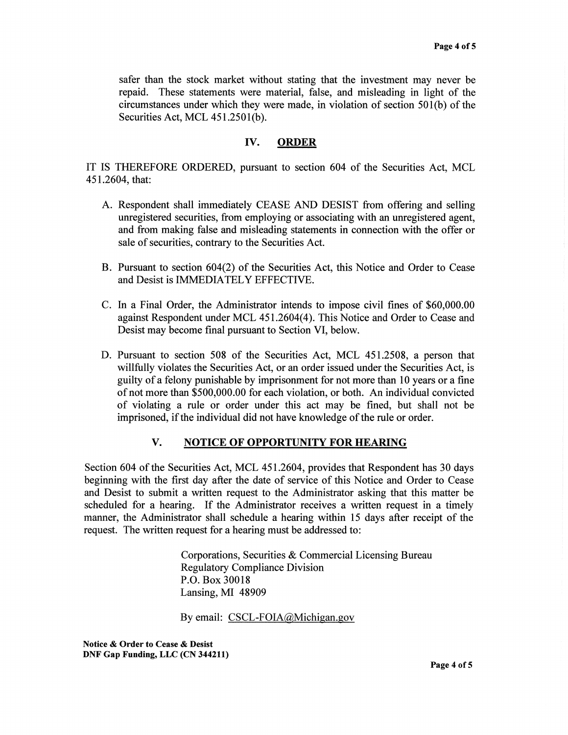safer than the stock market without stating that the investment may never be repaid. These statements were material, false, and misleading in light of the circumstances under which they were made, in violation of section 501(b) of the Securities Act, MCL 451.2501(b).

## IV. ORDER

IT IS THEREFORE ORDERED, pursuant to section 604 of the Securities Act, MCL 451.2604, that:

- A. Respondent shall immediately CEASE AND DESIST from offering and selling unregistered securities, from employing or associating with an unregistered agent, and from making false and misleading statements in connection with the offer or sale of securities, contrary to the Securities Act.
- B. Pursuant to section 604(2) of the Securities Act, this Notice and Order to Cease and Desist is IMMEDIATELY EFFECTIVE.
- C. In a Final Order, the Administrator intends to impose civil fines of \$60,000.00 against Respondent under MCL 451.2604(4). This Notice and Order to Cease and Desist may become final pursuant to Section VI, below.
- D. Pursuant to section 508 of the Securities Act, MCL 451.2508, a person that willfully violates the Securities Act, or an order issued under the Securities Act, is guilty of a felony punishable by imprisonment for not more than 10 years or a fine of not more than \$500,000.00 for each violation, or both. An individual convicted of violating a rule or order under this act may be fined, but shall not be imprisoned, if the individual did not have knowledge of the rule or order.

## V. NOTICE OF OPPORTUNITY FOR HEARING

Section 604 of the Securities Act, MCL 451.2604, provides that Respondent has 30 days beginning with the first day after the date of service of this Notice and Order to Cease and Desist to submit a written request to the Administrator asking that this matter be scheduled for a hearing. If the Administrator receives a written request in a timely manner, the Administrator shall schedule a hearing within 15 days after receipt of the request. The written request for a hearing must be addressed to:

> Corporations, Securities & Commercial Licensing Bureau Regulatory Compliance Division P.O. Box 30018 Lansing, MI 48909

By email: CSCL-FOIA@Michigan.gov

Notice & Order to Cease & Desist DNF Gap Funding, LLC (CN 344211)